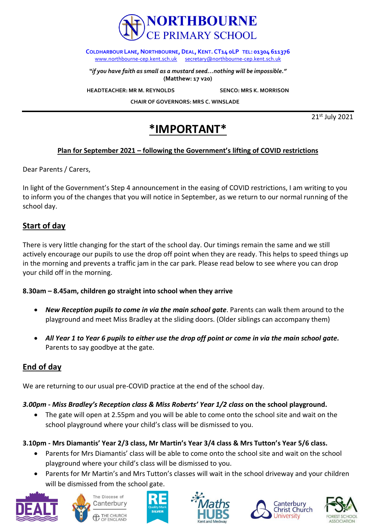

**COLDHARBOUR LANE, NORTHBOURNE, DEAL, KENT. CT14 <b>oLP** TEL: 01304 611376 [www.northbourne-cep.kent.sch.uk](http://www.northbourne-cep.kent.sch.uk/) [secretary@northbourne-cep.kent.sch.uk](mailto:secretary@northbourne-cep.kent.sch.uk)

*"if you have faith as small as a mustard seed…nothing will be impossible."* **(Matthew: 17 v20)**

**HEADTEACHER: MR M. REYNOLDS SENCO: MRS K. MORRISON** 

 **CHAIR OF GOVERNORS: MRS C. WINSLADE** 

21st July 2021

# **\*IMPORTANT\***

### **Plan for September 2021 – following the Government's lifting of COVID restrictions**

Dear Parents / Carers,

In light of the Government's Step 4 announcement in the easing of COVID restrictions, I am writing to you to inform you of the changes that you will notice in September, as we return to our normal running of the school day.

## **Start of day**

There is very little changing for the start of the school day. Our timings remain the same and we still actively encourage our pupils to use the drop off point when they are ready. This helps to speed things up in the morning and prevents a traffic jam in the car park. Please read below to see where you can drop your child off in the morning.

#### **8.30am – 8.45am, children go straight into school when they arrive**

- *New Reception pupils to come in via the main school gate*. Parents can walk them around to the playground and meet Miss Bradley at the sliding doors. (Older siblings can accompany them)
- *All Year 1 to Year 6 pupils to either use the drop off point or come in via the main school gate.*  Parents to say goodbye at the gate.

## **End of day**

We are returning to our usual pre-COVID practice at the end of the school day.

### *3.00pm - Miss Bradley's Reception class & Miss Roberts' Year 1/2 class* **on the school playground.**

 The gate will open at 2.55pm and you will be able to come onto the school site and wait on the school playground where your child's class will be dismissed to you.

### **3.10pm - Mrs Diamantis' Year 2/3 class, Mr Martin's Year 3/4 class & Mrs Tutton's Year 5/6 class.**

- Parents for Mrs Diamantis' class will be able to come onto the school site and wait on the school playground where your child's class will be dismissed to you.
- Parents for Mr Martin's and Mrs Tutton's classes will wait in the school driveway and your children will be dismissed from the school gate.